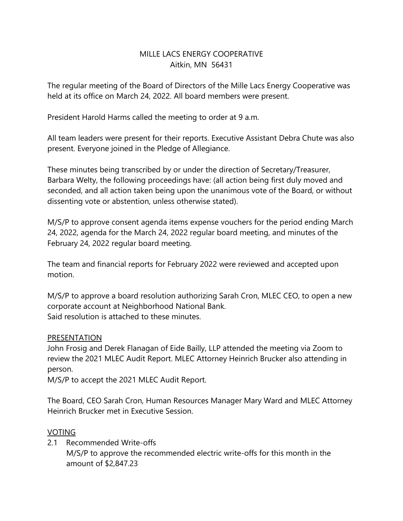## MILLE LACS ENFRGY COOPERATIVE Aitkin, MN 56431

The regular meeting of the Board of Directors of the Mille Lacs Energy Cooperative was held at its office on March 24, 2022. All board members were present.

President Harold Harms called the meeting to order at 9 a.m.

All team leaders were present for their reports. Executive Assistant Debra Chute was also present. Everyone joined in the Pledge of Allegiance.

These minutes being transcribed by or under the direction of Secretary/Treasurer, Barbara Welty, the following proceedings have: (all action being first duly moved and seconded, and all action taken being upon the unanimous vote of the Board, or without dissenting vote or abstention, unless otherwise stated).

M/S/P to approve consent agenda items expense vouchers for the period ending March 24, 2022, agenda for the March 24, 2022 regular board meeting, and minutes of the February 24, 2022 regular board meeting.

The team and financial reports for February 2022 were reviewed and accepted upon motion.

M/S/P to approve a board resolution authorizing Sarah Cron, MLEC CEO, to open a new corporate account at Neighborhood National Bank. Said resolution is attached to these minutes.

### **PRESENTATION**

John Frosig and Derek Flanagan of Eide Bailly, LLP attended the meeting via Zoom to review the 2021 MLEC Audit Report. MLEC Attorney Heinrich Brucker also attending in person.

M/S/P to accept the 2021 MLEC Audit Report.

The Board, CEO Sarah Cron, Human Resources Manager Mary Ward and MLEC Attorney Heinrich Brucker met in Executive Session.

### VOTING

2.1 Recommended Write-offs

M/S/P to approve the recommended electric write-offs for this month in the amount of \$2,847.23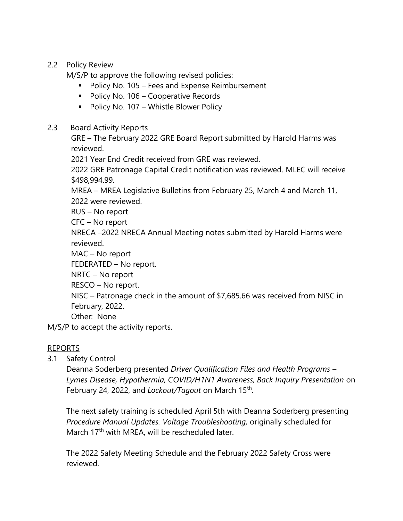# 2.2 Policy Review

M/S/P to approve the following revised policies:

- Policy No. 105 Fees and Expense Reimbursement
- Policy No. 106 Cooperative Records
- Policy No. 107 Whistle Blower Policy

## 2.3 Board Activity Reports

GRE – The February 2022 GRE Board Report submitted by Harold Harms was reviewed.

2021 Year End Credit received from GRE was reviewed.

2022 GRE Patronage Capital Credit notification was reviewed. MLEC will receive \$498,994.99.

MREA – MREA Legislative Bulletins from February 25, March 4 and March 11, 2022 were reviewed.

RUS – No report

CFC – No report

NRECA –2022 NRECA Annual Meeting notes submitted by Harold Harms were reviewed.

MAC – No report

FEDERATED – No report.

NRTC – No report

RESCO – No report.

NISC – Patronage check in the amount of \$7,685.66 was received from NISC in February, 2022.

Other: None

M/S/P to accept the activity reports.

# REPORTS

3.1 Safety Control

Deanna Soderberg presented *Driver Qualification Files and Health Programs – Lymes Disease, Hypothermia, COVID/H1N1 Awareness, Back Inquiry Presentation* on February 24, 2022, and *Lockout/Tagout* on March 15<sup>th</sup>.

The next safety training is scheduled April 5th with Deanna Soderberg presenting *Procedure Manual Updates. Voltage Troubleshooting,* originally scheduled for March 17<sup>th</sup> with MREA, will be rescheduled later.

The 2022 Safety Meeting Schedule and the February 2022 Safety Cross were reviewed.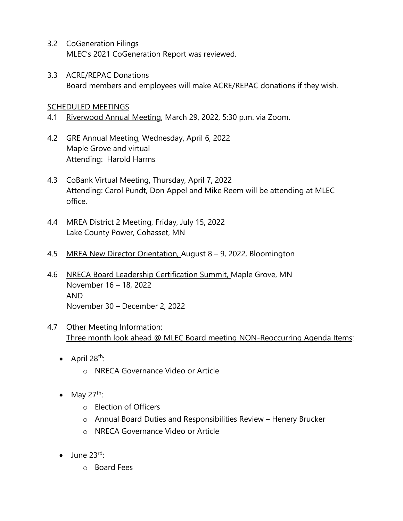- 3.2 CoGeneration Filings MLEC's 2021 CoGeneration Report was reviewed.
- 3.3 ACRE/REPAC Donations Board members and employees will make ACRE/REPAC donations if they wish.

#### SCHEDULED MEETINGS

- 4.1 Riverwood Annual Meeting, March 29, 2022, 5:30 p.m. via Zoom.
- 4.2 GRE Annual Meeting, Wednesday, April 6, 2022 Maple Grove and virtual Attending: Harold Harms
- 4.3 CoBank Virtual Meeting, Thursday, April 7, 2022 Attending: Carol Pundt, Don Appel and Mike Reem will be attending at MLEC office.
- 4.4 MREA District 2 Meeting, Friday, July 15, 2022 Lake County Power, Cohasset, MN
- 4.5 MREA New Director Orientation, August 8 9, 2022, Bloomington
- 4.6 NRECA Board Leadership Certification Summit, Maple Grove, MN November 16 – 18, 2022 AND November 30 – December 2, 2022
- 4.7 Other Meeting Information: Three month look ahead @ MLEC Board meeting NON-Reoccurring Agenda Items:
	- April  $28^{th}$ :
		- o NRECA Governance Video or Article
	- May  $27^{th}$ :
		- o Election of Officers
		- o Annual Board Duties and Responsibilities Review Henery Brucker
		- o NRECA Governance Video or Article
	- $\bullet$  June 23rd.
		- o Board Fees